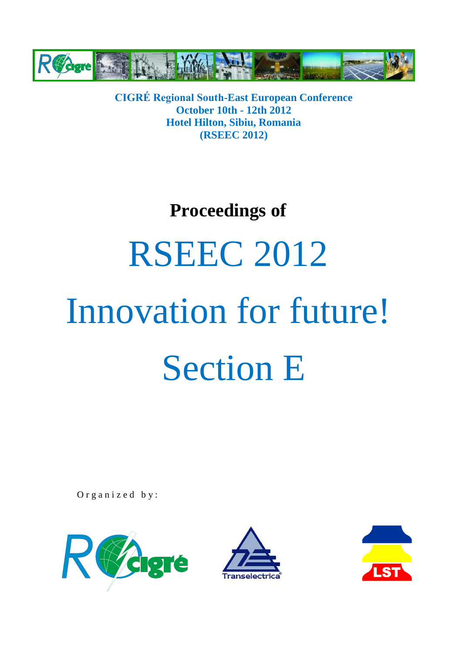

**CIGRÉ Regional South-East European Conference October 10th - 12th 2012 Hotel Hilton, Sibiu, Romania (RSEEC 2012)**

### **Proceedings of**

## **RSEEC 2012**

# Innovation for future! Section E

Organized by:





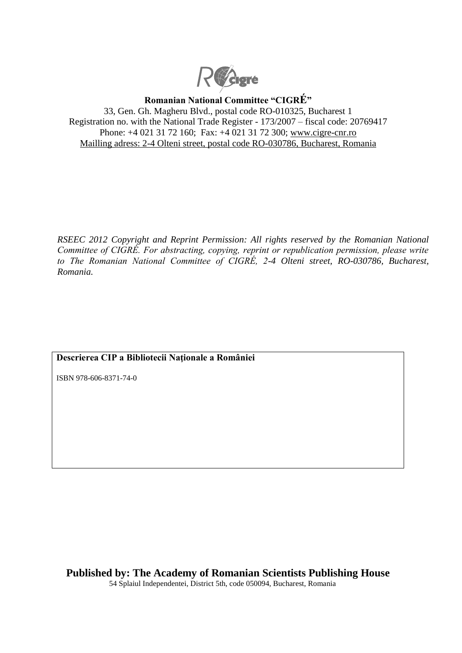

**Romanian National Committee "CIGRÉ"** 33, Gen. Gh. Magheru Blvd., postal code RO-010325, Bucharest 1 Registration no. with the National Trade Register - 173/2007 – fiscal code: 20769417

Phone: +4 021 31 72 160; Fax: +4 021 31 72 300; [www.cigre-cnr.ro](http://www.cigre-cnr.ro/) Mailling adress: 2-4 Olteni street, postal code RO-030786, Bucharest, Romania

*RSEEC 2012 Copyright and Reprint Permission: All rights reserved by the Romanian National Committee of CIGRÉ. For abstracting, copying, reprint or republication permission, please write to The Romanian National Committee of CIGRÉ, 2-4 Olteni street, RO-030786, Bucharest, Romania.*

#### **Descrierea CIP a Bibliotecii Naţionale a României**

ISBN 978-606-8371-74-0

**Published by: The Academy of Romanian Scientists Publishing House** 54 Splaiul Independentei, District 5th, code 050094, Bucharest, Romania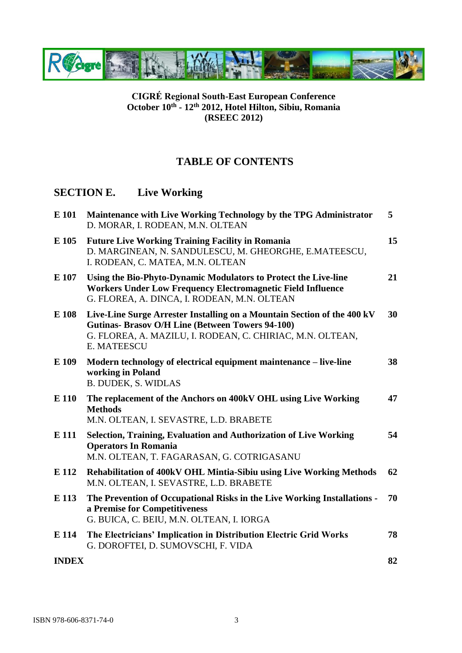

#### **CIGRÉ Regional South-East European Conference October 10th - 12th 2012, Hotel Hilton, Sibiu, Romania (RSEEC 2012)**

#### **TABLE OF CONTENTS**

#### **SECTION E. Live Working**

| E 101        | Maintenance with Live Working Technology by the TPG Administrator<br>D. MORAR, I. RODEAN, M.N. OLTEAN                                                                                                                 | 5  |
|--------------|-----------------------------------------------------------------------------------------------------------------------------------------------------------------------------------------------------------------------|----|
| E 105        | <b>Future Live Working Training Facility in Romania</b><br>D. MARGINEAN, N. SANDULESCU, M. GHEORGHE, E.MATEESCU,<br>I. RODEAN, C. MATEA, M.N. OLTEAN                                                                  | 15 |
| E 107        | Using the Bio-Phyto-Dynamic Modulators to Protect the Live-line<br><b>Workers Under Low Frequency Electromagnetic Field Influence</b><br>G. FLOREA, A. DINCA, I. RODEAN, M.N. OLTEAN                                  | 21 |
| E 108        | Live-Line Surge Arrester Installing on a Mountain Section of the 400 kV<br><b>Gutinas- Brasov O/H Line (Between Towers 94-100)</b><br>G. FLOREA, A. MAZILU, I. RODEAN, C. CHIRIAC, M.N. OLTEAN,<br><b>E. MATEESCU</b> | 30 |
| E 109        | Modern technology of electrical equipment maintenance – live-line<br>working in Poland<br><b>B. DUDEK, S. WIDLAS</b>                                                                                                  | 38 |
| E 110        | The replacement of the Anchors on 400kV OHL using Live Working<br><b>Methods</b><br>M.N. OLTEAN, I. SEVASTRE, L.D. BRABETE                                                                                            | 47 |
| E 111        | Selection, Training, Evaluation and Authorization of Live Working<br><b>Operators In Romania</b><br>M.N. OLTEAN, T. FAGARASAN, G. COTRIGASANU                                                                         | 54 |
| E 112        | Rehabilitation of 400kV OHL Mintia-Sibiu using Live Working Methods<br>M.N. OLTEAN, I. SEVASTRE, L.D. BRABETE                                                                                                         | 62 |
| E 113        | The Prevention of Occupational Risks in the Live Working Installations -<br>a Premise for Competitiveness<br>G. BUICA, C. BEIU, M.N. OLTEAN, I. IORGA                                                                 | 70 |
| E 114        | The Electricians' Implication in Distribution Electric Grid Works<br>G. DOROFTEI, D. SUMOVSCHI, F. VIDA                                                                                                               | 78 |
| <b>INDEX</b> |                                                                                                                                                                                                                       | 82 |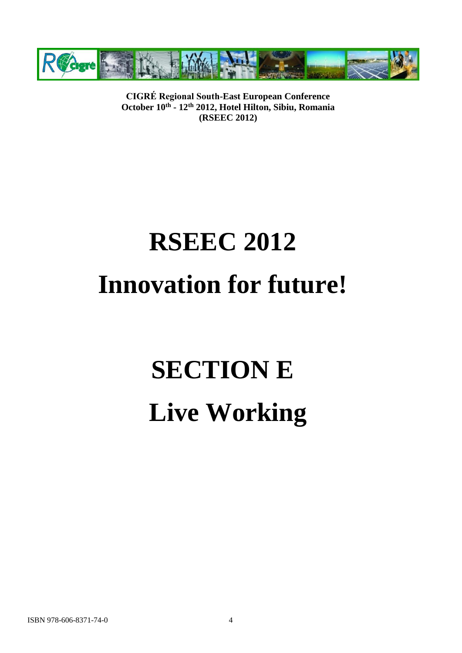

**CIGRÉ Regional South-East European Conference October 10th - 12th 2012, Hotel Hilton, Sibiu, Romania (RSEEC 2012)**

### **RSEEC 2012 Innovation for future!**

## **SECTION E Live Working**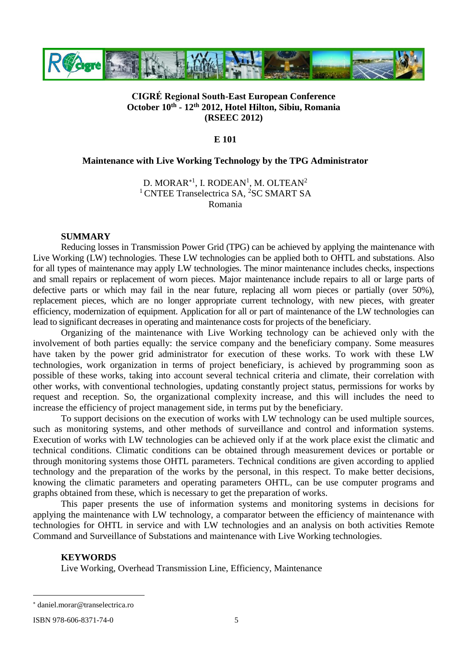

#### **CIGRÉ Regional South-East European Conference October 10th - 12th 2012, Hotel Hilton, Sibiu, Romania (RSEEC 2012)**

#### **E 101**

#### **Maintenance with Live Working Technology by the TPG Administrator**

D. MORAR $^{\ast1}$ , I. RODEAN $^{1}$ , M. OLTEAN $^{2}$ <sup>1</sup> CNTEE Transelectrica SA, <sup>2</sup>SC SMART SA Romania

#### **SUMMARY**

Reducing losses in Transmission Power Grid (TPG) can be achieved by applying the maintenance with Live Working (LW) technologies. These LW technologies can be applied both to OHTL and substations. Also for all types of maintenance may apply LW technologies. The minor maintenance includes checks, inspections and small repairs or replacement of worn pieces. Major maintenance include repairs to all or large parts of defective parts or which may fail in the near future, replacing all worn pieces or partially (over 50%), replacement pieces, which are no longer appropriate current technology, with new pieces, with greater efficiency, modernization of equipment. Application for all or part of maintenance of the LW technologies can lead to significant decreases in operating and maintenance costs for projects of the beneficiary.

Organizing of the maintenance with Live Working technology can be achieved only with the involvement of both parties equally: the service company and the beneficiary company. Some measures have taken by the power grid administrator for execution of these works. To work with these LW technologies, work organization in terms of project beneficiary, is achieved by programming soon as possible of these works, taking into account several technical criteria and climate, their correlation with other works, with conventional technologies, updating constantly project status, permissions for works by request and reception. So, the organizational complexity increase, and this will includes the need to increase the efficiency of project management side, in terms put by the beneficiary.

To support decisions on the execution of works with LW technology can be used multiple sources, such as monitoring systems, and other methods of surveillance and control and information systems. Execution of works with LW technologies can be achieved only if at the work place exist the climatic and technical conditions. Climatic conditions can be obtained through measurement devices or portable or through monitoring systems those OHTL parameters. Technical conditions are given according to applied technology and the preparation of the works by the personal, in this respect. To make better decisions, knowing the climatic parameters and operating parameters OHTL, can be use computer programs and graphs obtained from these, which is necessary to get the preparation of works.

This paper presents the use of information systems and monitoring systems in decisions for applying the maintenance with LW technology, a comparator between the efficiency of maintenance with technologies for OHTL in service and with LW technologies and an analysis on both activities Remote Command and Surveillance of Substations and maintenance with Live Working technologies.

#### **KEYWORDS**

Live Working, Overhead Transmission Line, Efficiency, Maintenance

ISBN 978-606-8371-74-0 5

 $\overline{a}$ 

daniel.morar@transelectrica.ro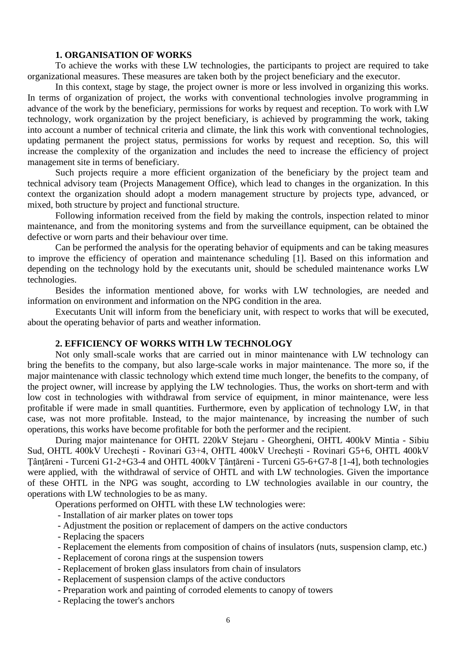#### **1. ORGANISATION OF WORKS**

To achieve the works with these LW technologies, the participants to project are required to take organizational measures. These measures are taken both by the project beneficiary and the executor.

In this context, stage by stage, the project owner is more or less involved in organizing this works. In terms of organization of project, the works with conventional technologies involve programming in advance of the work by the beneficiary, permissions for works by request and reception. To work with LW technology, work organization by the project beneficiary, is achieved by programming the work, taking into account a number of technical criteria and climate, the link this work with conventional technologies, updating permanent the project status, permissions for works by request and reception. So, this will increase the complexity of the organization and includes the need to increase the efficiency of project management site in terms of beneficiary.

Such projects require a more efficient organization of the beneficiary by the project team and technical advisory team (Projects Management Office), which lead to changes in the organization. In this context the organization should adopt a modern management structure by projects type, advanced, or mixed, both structure by project and functional structure.

Following information received from the field by making the controls, inspection related to minor maintenance, and from the monitoring systems and from the surveillance equipment, can be obtained the defective or worn parts and their behaviour over time.

Can be performed the analysis for the operating behavior of equipments and can be taking measures to improve the efficiency of operation and maintenance scheduling [1]. Based on this information and depending on the technology hold by the executants unit, should be scheduled maintenance works LW technologies.

Besides the information mentioned above, for works with LW technologies, are needed and information on environment and information on the NPG condition in the area.

Executants Unit will inform from the beneficiary unit, with respect to works that will be executed, about the operating behavior of parts and weather information.

#### **2. EFFICIENCY OF WORKS WITH LW TECHNOLOGY**

Not only small-scale works that are carried out in minor maintenance with LW technology can bring the benefits to the company, but also large-scale works in major maintenance. The more so, if the major maintenance with classic technology which extend time much longer, the benefits to the company, of the project owner, will increase by applying the LW technologies. Thus, the works on short-term and with low cost in technologies with withdrawal from service of equipment, in minor maintenance, were less profitable if were made in small quantities. Furthermore, even by application of technology LW, in that case, was not more profitable. Instead, to the major maintenance, by increasing the number of such operations, this works have become profitable for both the performer and the recipient.

During major maintenance for OHTL 220kV Stejaru - Gheorgheni, OHTL 400kV Mintia - Sibiu Sud, OHTL 400kV Urecheşti - Rovinari G3+4, OHTL 400kV Urecheşti - Rovinari G5+6, OHTL 400kV Ţânţăreni - Turceni G1-2+G3-4 and OHTL 400kV Ţânţăreni - Turceni G5-6+G7-8 [1-4], both technologies were applied, with the withdrawal of service of OHTL and with LW technologies. Given the importance of these OHTL in the NPG was sought, according to LW technologies available in our country, the operations with LW technologies to be as many.

Operations performed on OHTL with these LW technologies were:

- Installation of air marker plates on tower tops
- Adjustment the position or replacement of dampers on the active conductors
- Replacing the spacers
- Replacement the elements from composition of chains of insulators (nuts, suspension clamp, etc.)
- Replacement of corona rings at the suspension towers
- Replacement of broken glass insulators from chain of insulators
- Replacement of suspension clamps of the active conductors
- Preparation work and painting of corroded elements to canopy of towers
- Replacing the tower's anchors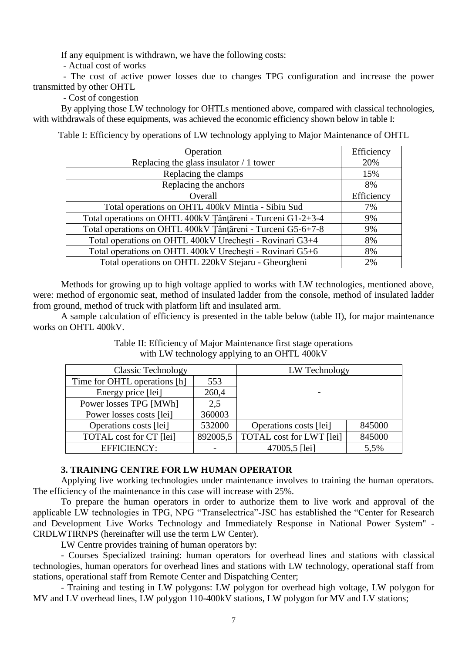If any equipment is withdrawn, we have the following costs:

- Actual cost of works

- The cost of active power losses due to changes TPG configuration and increase the power transmitted by other OHTL

- Cost of congestion

By applying those LW technology for OHTLs mentioned above, compared with classical technologies, with withdrawals of these equipments, was achieved the economic efficiency shown below in table I:

Table I: Efficiency by operations of LW technology applying to Major Maintenance of OHTL

| Operation                                                   | Efficiency |
|-------------------------------------------------------------|------------|
| Replacing the glass insulator $/1$ tower                    | 20%        |
| Replacing the clamps                                        | 15%        |
| Replacing the anchors                                       | 8%         |
| Overall                                                     | Efficiency |
| Total operations on OHTL 400kV Mintia - Sibiu Sud           | 7%         |
| Total operations on OHTL 400kV Tânțăreni - Turceni G1-2+3-4 | 9%         |
| Total operations on OHTL 400kV Tânțăreni - Turceni G5-6+7-8 | 9%         |
| Total operations on OHTL 400kV Urechesti - Rovinari G3+4    | 8%         |
| Total operations on OHTL 400kV Urechești - Rovinari G5+6    | 8%         |
| Total operations on OHTL 220kV Stejaru - Gheorgheni         | 2%         |

Methods for growing up to high voltage applied to works with LW technologies, mentioned above, were: method of ergonomic seat, method of insulated ladder from the console, method of insulated ladder from ground, method of truck with platform lift and insulated arm.

A sample calculation of efficiency is presented in the table below (table II), for major maintenance works on OHTL 400kV.

Table II: Efficiency of Major Maintenance first stage operations with LW technology applying to an OHTL 400kV

| <b>Classic Technology</b>      |          | LW Technology                   |        |
|--------------------------------|----------|---------------------------------|--------|
| Time for OHTL operations [h]   | 553      |                                 |        |
| Energy price [lei]             | 260,4    |                                 |        |
| Power losses TPG [MWh]         | 2.5      |                                 |        |
| Power losses costs [lei]       | 360003   |                                 |        |
| Operations costs [lei]         | 532000   | Operations costs [lei]          | 845000 |
| <b>TOTAL</b> cost for CT [lei] | 892005,5 | <b>TOTAL</b> cost for LWT [lei] | 845000 |
| <b>EFFICIENCY:</b>             |          | 47005,5 [lei]                   | 5,5%   |

#### **3. TRAINING CENTRE FOR LW HUMAN OPERATOR**

Applying live working technologies under maintenance involves to training the human operators. The efficiency of the maintenance in this case will increase with 25%.

To prepare the human operators in order to authorize them to live work and approval of the applicable LW technologies in TPG, NPG "Transelectrica"-JSC has established the "Center for Research and Development Live Works Technology and Immediately Response in National Power System" - CRDLWTIRNPS (hereinafter will use the term LW Center).

LW Centre provides training of human operators by:

- Courses Specialized training: human operators for overhead lines and stations with classical technologies, human operators for overhead lines and stations with LW technology, operational staff from stations, operational staff from Remote Center and Dispatching Center;

- Training and testing in LW polygons: LW polygon for overhead high voltage, LW polygon for MV and LV overhead lines, LW polygon 110-400kV stations, LW polygon for MV and LV stations;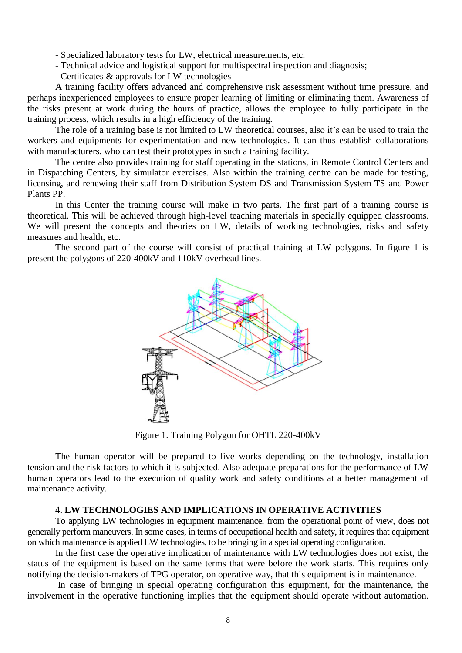- Specialized laboratory tests for LW, electrical measurements, etc.

- Technical advice and logistical support for multispectral inspection and diagnosis;
- Certificates & approvals for LW technologies

A training facility offers advanced and comprehensive risk assessment without time pressure, and perhaps inexperienced employees to ensure proper learning of limiting or eliminating them. Awareness of the risks present at work during the hours of practice, allows the employee to fully participate in the training process, which results in a high efficiency of the training.

The role of a training base is not limited to LW theoretical courses, also it's can be used to train the workers and equipments for experimentation and new technologies. It can thus establish collaborations with manufacturers, who can test their prototypes in such a training facility.

The centre also provides training for staff operating in the stations, in Remote Control Centers and in Dispatching Centers, by simulator exercises. Also within the training centre can be made for testing, licensing, and renewing their staff from Distribution System DS and Transmission System TS and Power Plants PP.

In this Center the training course will make in two parts. The first part of a training course is theoretical. This will be achieved through high-level teaching materials in specially equipped classrooms. We will present the concepts and theories on LW, details of working technologies, risks and safety measures and health, etc.

The second part of the course will consist of practical training at LW polygons. In figure 1 is present the polygons of 220-400kV and 110kV overhead lines.



Figure 1. Training Polygon for OHTL 220-400kV

The human operator will be prepared to live works depending on the technology, installation tension and the risk factors to which it is subjected. Also adequate preparations for the performance of LW human operators lead to the execution of quality work and safety conditions at a better management of maintenance activity.

#### **4. LW TECHNOLOGIES AND IMPLICATIONS IN OPERATIVE ACTIVITIES**

To applying LW technologies in equipment maintenance, from the operational point of view, does not generally perform maneuvers. In some cases, in terms of occupational health and safety, it requires that equipment on which maintenance is applied LW technologies, to be bringing in a special operating configuration.

In the first case the operative implication of maintenance with LW technologies does not exist, the status of the equipment is based on the same terms that were before the work starts. This requires only notifying the decision-makers of TPG operator, on operative way, that this equipment is in maintenance.

In case of bringing in special operating configuration this equipment, for the maintenance, the involvement in the operative functioning implies that the equipment should operate without automation.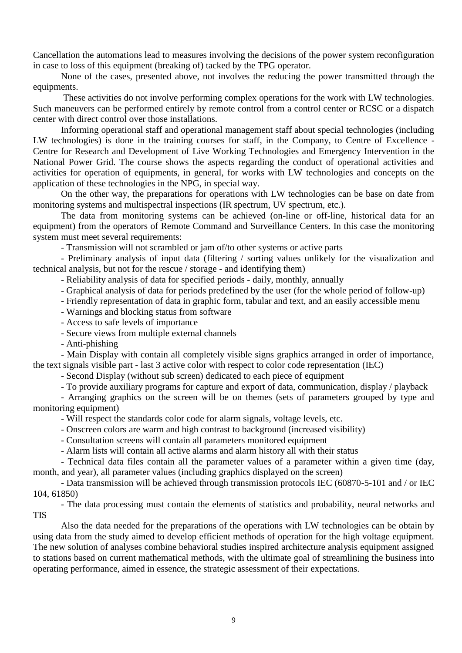Cancellation the automations lead to measures involving the decisions of the power system reconfiguration in case to loss of this equipment (breaking of) tacked by the TPG operator.

None of the cases, presented above, not involves the reducing the power transmitted through the equipments.

These activities do not involve performing complex operations for the work with LW technologies. Such maneuvers can be performed entirely by remote control from a control center or RCSC or a dispatch center with direct control over those installations.

Informing operational staff and operational management staff about special technologies (including LW technologies) is done in the training courses for staff, in the Company, to Centre of Excellence - Centre for Research and Development of Live Working Technologies and Emergency Intervention in the National Power Grid. The course shows the aspects regarding the conduct of operational activities and activities for operation of equipments, in general, for works with LW technologies and concepts on the application of these technologies in the NPG, in special way.

On the other way, the preparations for operations with LW technologies can be base on date from monitoring systems and multispectral inspections (IR spectrum, UV spectrum, etc.).

The data from monitoring systems can be achieved (on-line or off-line, historical data for an equipment) from the operators of Remote Command and Surveillance Centers. In this case the monitoring system must meet several requirements:

- Transmission will not scrambled or jam of/to other systems or active parts

- Preliminary analysis of input data (filtering / sorting values unlikely for the visualization and technical analysis, but not for the rescue / storage - and identifying them)

- Reliability analysis of data for specified periods - daily, monthly, annually

- Graphical analysis of data for periods predefined by the user (for the whole period of follow-up)

- Friendly representation of data in graphic form, tabular and text, and an easily accessible menu

- Warnings and blocking status from software

- Access to safe levels of importance

- Secure views from multiple external channels

- Anti-phishing

- Main Display with contain all completely visible signs graphics arranged in order of importance, the text signals visible part - last 3 active color with respect to color code representation (IEC)

- Second Display (without sub screen) dedicated to each piece of equipment

- To provide auxiliary programs for capture and export of data, communication, display / playback

- Arranging graphics on the screen will be on themes (sets of parameters grouped by type and monitoring equipment)

- Will respect the standards color code for alarm signals, voltage levels, etc.

- Onscreen colors are warm and high contrast to background (increased visibility)

- Consultation screens will contain all parameters monitored equipment

- Alarm lists will contain all active alarms and alarm history all with their status

- Technical data files contain all the parameter values of a parameter within a given time (day, month, and year), all parameter values (including graphics displayed on the screen)

- Data transmission will be achieved through transmission protocols IEC (60870-5-101 and / or IEC 104, 61850)

- The data processing must contain the elements of statistics and probability, neural networks and **TIS** 

Also the data needed for the preparations of the operations with LW technologies can be obtain by using data from the study aimed to develop efficient methods of operation for the high voltage equipment. The new solution of analyses combine behavioral studies inspired architecture analysis equipment assigned to stations based on current mathematical methods, with the ultimate goal of streamlining the business into operating performance, aimed in essence, the strategic assessment of their expectations.